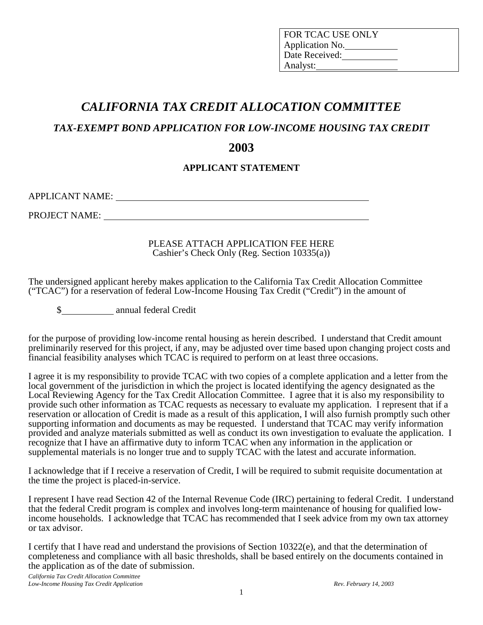| <b>FOR TCAC USE ONLY</b> |
|--------------------------|
| Application No.          |
| Date Received:           |
| Analyst:                 |

# *CALIFORNIA TAX CREDIT ALLOCATION COMMITTEE*

*TAX-EXEMPT BOND APPLICATION FOR LOW-INCOME HOUSING TAX CREDIT* 

# **2003**

### **APPLICANT STATEMENT**

APPLICANT NAME:

PROJECT NAME: UNITS AND THE SERVICE OF THE SERVICE OF THE SERVICE OF THE SERVICE OF THE SERVICE OF THE SERVICE OF THE SERVICE OF THE SERVICE OF THE SERVICE OF THE SERVICE OF THE SERVICE OF THE SERVICE OF THE SERVICE OF THE

PLEASE ATTACH APPLICATION FEE HERE Cashier's Check Only (Reg. Section 10335(a))

The undersigned applicant hereby makes application to the California Tax Credit Allocation Committee ("TCAC") for a reservation of federal Low-Income Housing Tax Credit ("Credit") in the amount of

\$ annual federal Credit

for the purpose of providing low-income rental housing as herein described. I understand that Credit amount preliminarily reserved for this project, if any, may be adjusted over time based upon changing project costs and financial feasibility analyses which TCAC is required to perform on at least three occasions.

I agree it is my responsibility to provide TCAC with two copies of a complete application and a letter from the local government of the jurisdiction in which the project is located identifying the agency designated as the Local Reviewing Agency for the Tax Credit Allocation Committee. I agree that it is also my responsibility to provide such other information as TCAC requests as necessary to evaluate my application. I represent that if a reservation or allocation of Credit is made as a result of this application, I will also furnish promptly such other supporting information and documents as may be requested. I understand that TCAC may verify information provided and analyze materials submitted as well as conduct its own investigation to evaluate the application. I recognize that I have an affirmative duty to inform TCAC when any information in the application or supplemental materials is no longer true and to supply TCAC with the latest and accurate information.

I acknowledge that if I receive a reservation of Credit, I will be required to submit requisite documentation at the time the project is placed-in-service.

I represent I have read Section 42 of the Internal Revenue Code (IRC) pertaining to federal Credit. I understand that the federal Credit program is complex and involves long-term maintenance of housing for qualified lowincome households. I acknowledge that TCAC has recommended that I seek advice from my own tax attorney or tax advisor.

I certify that I have read and understand the provisions of Section 10322(e), and that the determination of completeness and compliance with all basic thresholds, shall be based entirely on the documents contained in the application as of the date of submission.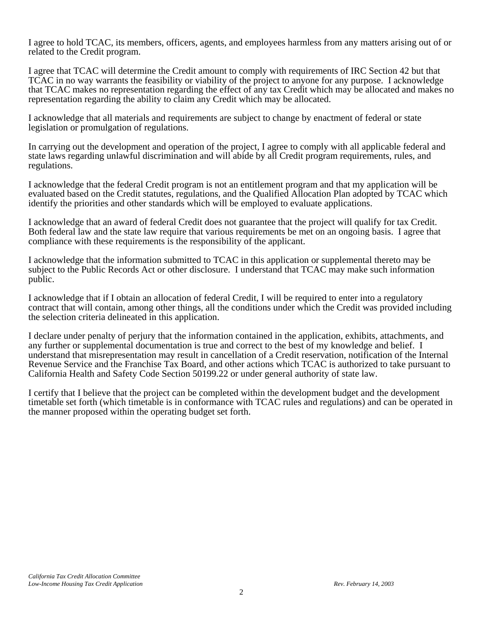I agree to hold TCAC, its members, officers, agents, and employees harmless from any matters arising out of or related to the Credit program.

I agree that TCAC will determine the Credit amount to comply with requirements of IRC Section 42 but that TCAC in no way warrants the feasibility or viability of the project to anyone for any purpose. I acknowledge that TCAC makes no representation regarding the effect of any tax Credit which may be allocated and makes no representation regarding the ability to claim any Credit which may be allocated.

I acknowledge that all materials and requirements are subject to change by enactment of federal or state legislation or promulgation of regulations.

In carrying out the development and operation of the project, I agree to comply with all applicable federal and state laws regarding unlawful discrimination and will abide by all Credit program requirements, rules, and regulations.

I acknowledge that the federal Credit program is not an entitlement program and that my application will be evaluated based on the Credit statutes, regulations, and the Qualified Allocation Plan adopted by TCAC which identify the priorities and other standards which will be employed to evaluate applications.

I acknowledge that an award of federal Credit does not guarantee that the project will qualify for tax Credit. Both federal law and the state law require that various requirements be met on an ongoing basis. I agree that compliance with these requirements is the responsibility of the applicant.

I acknowledge that the information submitted to TCAC in this application or supplemental thereto may be subject to the Public Records Act or other disclosure. I understand that TCAC may make such information public.

I acknowledge that if I obtain an allocation of federal Credit, I will be required to enter into a regulatory contract that will contain, among other things, all the conditions under which the Credit was provided including the selection criteria delineated in this application.

I declare under penalty of perjury that the information contained in the application, exhibits, attachments, and any further or supplemental documentation is true and correct to the best of my knowledge and belief. I understand that misrepresentation may result in cancellation of a Credit reservation, notification of the Internal Revenue Service and the Franchise Tax Board, and other actions which TCAC is authorized to take pursuant to California Health and Safety Code Section 50199.22 or under general authority of state law.

I certify that I believe that the project can be completed within the development budget and the development timetable set forth (which timetable is in conformance with TCAC rules and regulations) and can be operated in the manner proposed within the operating budget set forth.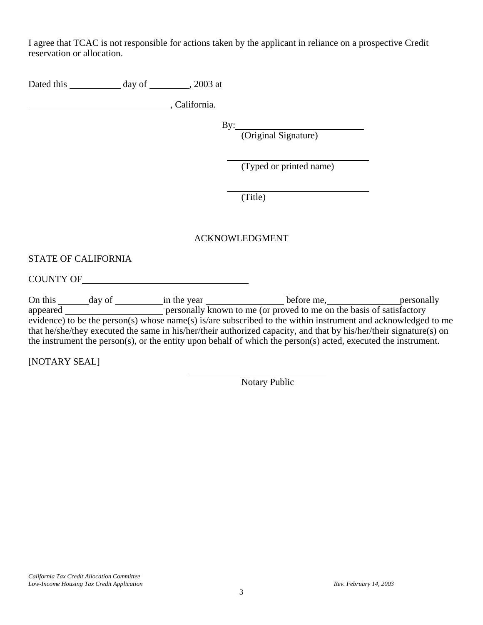I agree that TCAC is not responsible for actions taken by the applicant in reliance on a prospective Credit reservation or allocation.

Dated this day of , 2003 at

**California.** California.

 $By:$ 

(Original Signature)

(Typed or printed name)

(Title)

### ACKNOWLEDGMENT

### STATE OF CALIFORNIA

COUNTY OF

On this \_\_\_\_\_\_\_\_ day of \_\_\_\_\_\_\_\_\_\_ in the year \_\_\_\_\_\_\_\_\_\_\_\_\_\_\_\_\_\_\_before me, \_\_\_\_\_\_\_\_\_\_\_\_\_\_\_\_\_\_\_\_personally appeared **personally known to me (or proved to me on the basis of satisfactory** evidence) to be the person(s) whose name(s) is/are subscribed to the within instrument and acknowledged to me that he/she/they executed the same in his/her/their authorized capacity, and that by his/her/their signature(s) on the instrument the person(s), or the entity upon behalf of which the person(s) acted, executed the instrument.

[NOTARY SEAL]

Notary Public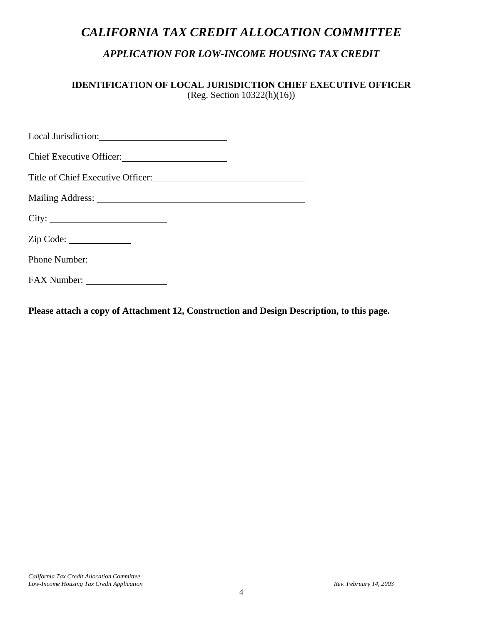# *CALIFORNIA TAX CREDIT ALLOCATION COMMITTEE*

# *APPLICATION FOR LOW-INCOME HOUSING TAX CREDIT*

**IDENTIFICATION OF LOCAL JURISDICTION CHIEF EXECUTIVE OFFICER**  (Reg. Section 10322(h)(16))

| Chief Executive Officer: |  |
|--------------------------|--|
|                          |  |
|                          |  |
| City:                    |  |
| Zip Code:                |  |
| Phone Number:            |  |
|                          |  |

**Please attach a copy of Attachment 12, Construction and Design Description, to this page.**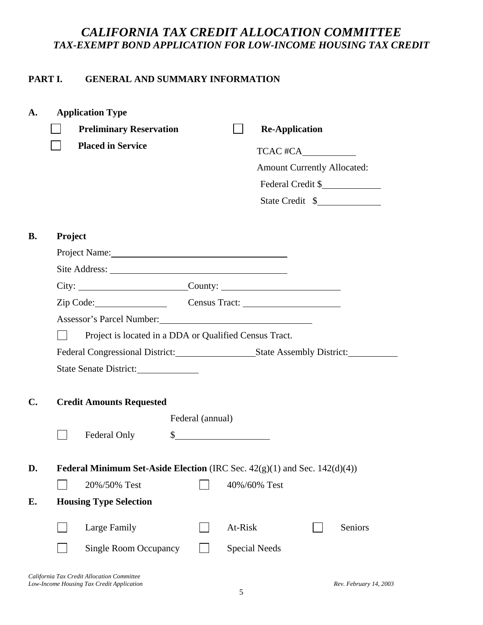# *CALIFORNIA TAX CREDIT ALLOCATION COMMITTEE TAX-EXEMPT BOND APPLICATION FOR LOW-INCOME HOUSING TAX CREDIT*

# **PART I. GENERAL AND SUMMARY INFORMATION**

|                | <b>Application Type</b>                                                                                                                                                                                                                |                  |              |                                    |         |
|----------------|----------------------------------------------------------------------------------------------------------------------------------------------------------------------------------------------------------------------------------------|------------------|--------------|------------------------------------|---------|
|                | <b>Preliminary Reservation</b>                                                                                                                                                                                                         |                  |              | <b>Re-Application</b>              |         |
|                | <b>Placed in Service</b>                                                                                                                                                                                                               |                  |              | TCAC #CA                           |         |
|                |                                                                                                                                                                                                                                        |                  |              | <b>Amount Currently Allocated:</b> |         |
|                |                                                                                                                                                                                                                                        |                  |              | Federal Credit \$                  |         |
|                |                                                                                                                                                                                                                                        |                  |              | State Credit \$                    |         |
|                |                                                                                                                                                                                                                                        |                  |              |                                    |         |
| <b>B.</b>      | Project                                                                                                                                                                                                                                |                  |              |                                    |         |
|                |                                                                                                                                                                                                                                        |                  |              |                                    |         |
|                |                                                                                                                                                                                                                                        |                  |              |                                    |         |
|                | $City: \_\_\_\_\_\_$ County: $\_\_\_\_\_\_\_\_\_\_$                                                                                                                                                                                    |                  |              |                                    |         |
|                | Zip Code: Census Tract:                                                                                                                                                                                                                |                  |              |                                    |         |
|                | Assessor's Parcel Number:<br><u>Letter and the set of the set of the set of the set of the set of the set of the set of the set of the set of the set of the set of the set of the set of the set of the set of the set of the set</u> |                  |              |                                    |         |
|                | Project is located in a DDA or Qualified Census Tract.                                                                                                                                                                                 |                  |              |                                    |         |
|                |                                                                                                                                                                                                                                        |                  |              |                                    |         |
|                |                                                                                                                                                                                                                                        |                  |              |                                    |         |
|                | State Senate District:                                                                                                                                                                                                                 |                  |              |                                    |         |
|                |                                                                                                                                                                                                                                        |                  |              |                                    |         |
|                | <b>Credit Amounts Requested</b>                                                                                                                                                                                                        |                  |              |                                    |         |
|                |                                                                                                                                                                                                                                        | Federal (annual) |              |                                    |         |
|                | Federal Only                                                                                                                                                                                                                           |                  | $\sim$       |                                    |         |
|                |                                                                                                                                                                                                                                        |                  |              |                                    |         |
|                | <b>Federal Minimum Set-Aside Election</b> (IRC Sec. $42(g)(1)$ and Sec. $142(d)(4)$ )                                                                                                                                                  |                  |              |                                    |         |
|                | 20%/50% Test                                                                                                                                                                                                                           |                  | 40%/60% Test |                                    |         |
| C.<br>D.<br>Е. | <b>Housing Type Selection</b>                                                                                                                                                                                                          |                  |              |                                    |         |
|                |                                                                                                                                                                                                                                        |                  |              |                                    |         |
|                | Large Family                                                                                                                                                                                                                           |                  | At-Risk      |                                    | Seniors |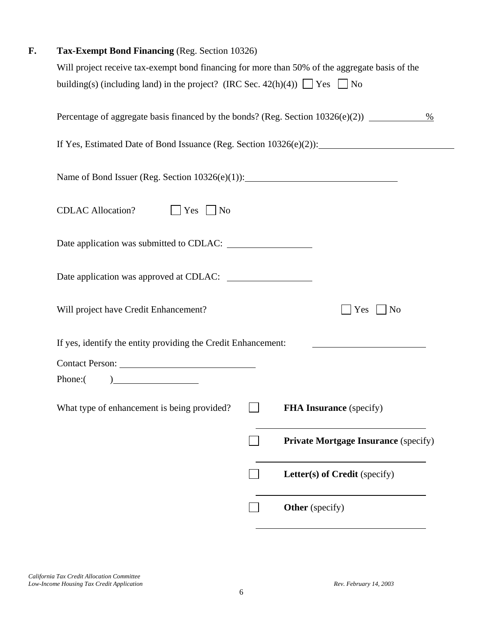| F. | Tax-Exempt Bond Financing (Reg. Section 10326)                                                                                |  |  |  |
|----|-------------------------------------------------------------------------------------------------------------------------------|--|--|--|
|    | Will project receive tax-exempt bond financing for more than 50% of the aggregate basis of the                                |  |  |  |
|    | building(s) (including land) in the project? (IRC Sec. $42(h)(4)$ ) $\Box$ Yes $\Box$ No                                      |  |  |  |
|    | Percentage of aggregate basis financed by the bonds? (Reg. Section 10326(e)(2)) ____________________<br>$\%$                  |  |  |  |
|    | If Yes, Estimated Date of Bond Issuance (Reg. Section 10326(e)(2)):                                                           |  |  |  |
|    | Name of Bond Issuer (Reg. Section 10326(e)(1)): _________________________________                                             |  |  |  |
|    | <b>CDLAC Allocation?</b><br>$\Box$ Yes $\Box$ No                                                                              |  |  |  |
|    |                                                                                                                               |  |  |  |
|    |                                                                                                                               |  |  |  |
|    | Will project have Credit Enhancement?<br>Yes<br><b>No</b>                                                                     |  |  |  |
|    | If yes, identify the entity providing the Credit Enhancement:                                                                 |  |  |  |
|    |                                                                                                                               |  |  |  |
|    | $\begin{tabular}{ c c c c } \hline \quad \quad & \quad \quad & \quad \quad & \quad \quad \\ \hline \end{tabular}$<br>Phone: ( |  |  |  |
|    | What type of enhancement is being provided?<br><b>FHA Insurance</b> (specify)                                                 |  |  |  |
|    | <b>Private Mortgage Insurance (specify)</b>                                                                                   |  |  |  |
|    | Letter(s) of Credit (specify)                                                                                                 |  |  |  |
|    | <b>Other</b> (specify)                                                                                                        |  |  |  |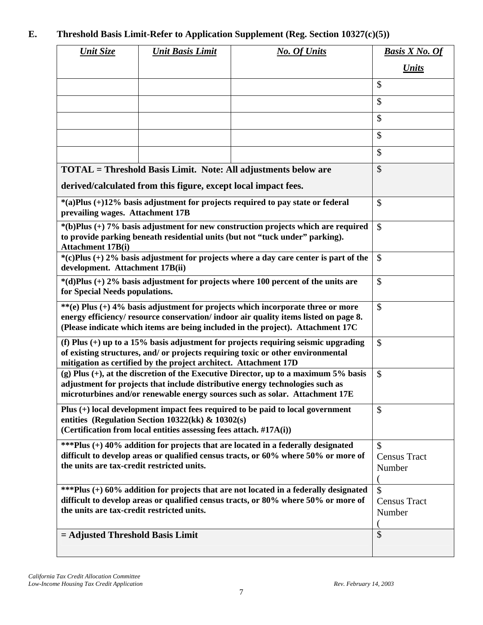# **E. Threshold Basis Limit-Refer to Application Supplement (Reg. Section 10327(c)(5))**

| <b>Unit Size</b>                           | <b>Unit Basis Limit</b>                                                                                                    | <b>No. Of Units</b>                                                                                                                                                                                                                                        | <b>Basis X No. Of</b>                               |
|--------------------------------------------|----------------------------------------------------------------------------------------------------------------------------|------------------------------------------------------------------------------------------------------------------------------------------------------------------------------------------------------------------------------------------------------------|-----------------------------------------------------|
|                                            |                                                                                                                            |                                                                                                                                                                                                                                                            | <b>Units</b>                                        |
|                                            |                                                                                                                            |                                                                                                                                                                                                                                                            | \$                                                  |
|                                            |                                                                                                                            |                                                                                                                                                                                                                                                            | \$                                                  |
|                                            |                                                                                                                            |                                                                                                                                                                                                                                                            | $\mathcal{S}$                                       |
|                                            |                                                                                                                            |                                                                                                                                                                                                                                                            | \$                                                  |
|                                            |                                                                                                                            |                                                                                                                                                                                                                                                            | \$                                                  |
|                                            |                                                                                                                            | <b>TOTAL</b> = Threshold Basis Limit. Note: All adjustments below are                                                                                                                                                                                      | \$                                                  |
|                                            | derived/calculated from this figure, except local impact fees.                                                             |                                                                                                                                                                                                                                                            |                                                     |
| prevailing wages. Attachment 17B           |                                                                                                                            | *(a)Plus (+)12% basis adjustment for projects required to pay state or federal                                                                                                                                                                             | \$                                                  |
| <b>Attachment 17B(i)</b>                   |                                                                                                                            | $*(b)$ Plus (+) 7% basis adjustment for new construction projects which are required<br>to provide parking beneath residential units (but not "tuck under" parking).                                                                                       | $\mathcal{S}$                                       |
| development. Attachment 17B(ii)            |                                                                                                                            | $*(c)$ Plus (+) 2% basis adjustment for projects where a day care center is part of the                                                                                                                                                                    | $\mathcal{S}$                                       |
| for Special Needs populations.             |                                                                                                                            | $*(d)$ Plus (+) 2% basis adjustment for projects where 100 percent of the units are                                                                                                                                                                        | $\mathcal{S}$                                       |
|                                            |                                                                                                                            | **(e) Plus (+) 4% basis adjustment for projects which incorporate three or more<br>energy efficiency/ resource conservation/ indoor air quality items listed on page 8.<br>(Please indicate which items are being included in the project). Attachment 17C | $\mathcal{S}$                                       |
|                                            | mitigation as certified by the project architect. Attachment 17D                                                           | (f) Plus $(+)$ up to a 15% basis adjustment for projects requiring seismic upgrading<br>of existing structures, and/ or projects requiring toxic or other environmental                                                                                    | $\mathcal{S}$                                       |
|                                            |                                                                                                                            | (g) Plus $(+)$ , at the discretion of the Executive Director, up to a maximum 5% basis<br>adjustment for projects that include distributive energy technologies such as<br>microturbines and/or renewable energy sources such as solar. Attachment 17E     | $\mathcal{S}$                                       |
|                                            | entities (Regulation Section 10322(kk) $\&$ 10302(s)<br>(Certification from local entities assessing fees attach. #17A(i)) | Plus (+) local development impact fees required to be paid to local government                                                                                                                                                                             | \$                                                  |
| the units are tax-credit restricted units. |                                                                                                                            | ***Plus (+) 40% addition for projects that are located in a federally designated<br>difficult to develop areas or qualified census tracts, or 60% where 50% or more of                                                                                     | $\mathcal{S}$<br><b>Census Tract</b><br>Number      |
| the units are tax-credit restricted units. |                                                                                                                            | ***Plus (+) 60% addition for projects that are not located in a federally designated<br>difficult to develop areas or qualified census tracts, or 80% where 50% or more of                                                                                 | $\mathbf{\hat{S}}$<br><b>Census Tract</b><br>Number |
| $=$ Adjusted Threshold Basis Limit         |                                                                                                                            |                                                                                                                                                                                                                                                            | \$                                                  |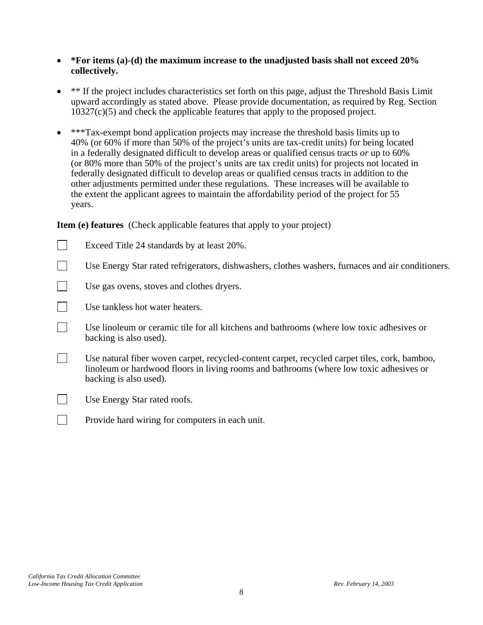#### • **\*For items (a)-(d) the maximum increase to the unadjusted basis shall not exceed 20% collectively.**

- \*\* If the project includes characteristics set forth on this page, adjust the Threshold Basis Limit upward accordingly as stated above. Please provide documentation, as required by Reg. Section  $10327(c)(5)$  and check the applicable features that apply to the proposed project.
- \*\*\*Tax-exempt bond application projects may increase the threshold basis limits up to 40% (or 60% if more than 50% of the project's units are tax-credit units) for being located in a federally designated difficult to develop areas or qualified census tracts *or* up to 60% (or 80% more than 50% of the project's units are tax credit units) for projects not located in federally designated difficult to develop areas or qualified census tracts in addition to the other adjustments permitted under these regulations. These increases will be available to the extent the applicant agrees to maintain the affordability period of the project for 55 years.

**Item (e) features** (Check applicable features that apply to your project)

Exceed Title 24 standards by at least  $20\%$ . Use Energy Star rated refrigerators, dishwashers, clothes washers, furnaces and air conditioners. Use gas ovens, stoves and clothes dryers.  $\Box$  Use tankless hot water heaters. Use linoleum or ceramic tile for all kitchens and bathrooms (where low toxic adhesives or backing is also used). Use natural fiber woven carpet, recycled-content carpet, recycled carpet tiles, cork, bamboo, linoleum or hardwood floors in living rooms and bathrooms (where low toxic adhesives or backing is also used). Use Energy Star rated roofs. **Provide hard wiring for computers in each unit.**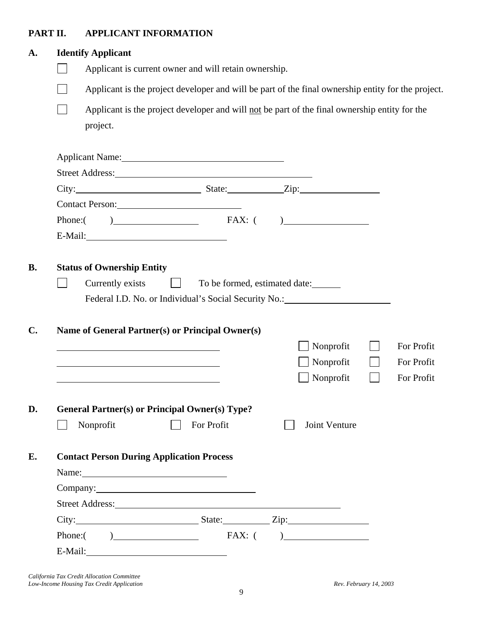# **PART II. APPLICANT INFORMATION**

| <b>Identify Applicant</b>                        |                                                                                                                                                                                                                               |               |                                        |
|--------------------------------------------------|-------------------------------------------------------------------------------------------------------------------------------------------------------------------------------------------------------------------------------|---------------|----------------------------------------|
|                                                  | Applicant is current owner and will retain ownership.                                                                                                                                                                         |               |                                        |
|                                                  | Applicant is the project developer and will be part of the final ownership entity for the project.                                                                                                                            |               |                                        |
|                                                  | Applicant is the project developer and will not be part of the final ownership entity for the                                                                                                                                 |               |                                        |
| project.                                         |                                                                                                                                                                                                                               |               |                                        |
|                                                  |                                                                                                                                                                                                                               |               |                                        |
|                                                  | Applicant Name: 1988                                                                                                                                                                                                          |               |                                        |
|                                                  | Street Address: No. 2016. The Street Address:                                                                                                                                                                                 |               |                                        |
|                                                  | City: City: City: City: City: City: City: City: City: City: City: City: City: City: City: City: City: City: City: City: City: City: City: City: City: City: City: City: City: City: City: City: City: City: City: City: City: |               |                                        |
| Contact Person: 2008                             |                                                                                                                                                                                                                               |               |                                        |
|                                                  | Phone: $( )$ FAX: $( )$                                                                                                                                                                                                       |               |                                        |
|                                                  |                                                                                                                                                                                                                               |               |                                        |
| <b>Status of Ownership Entity</b>                |                                                                                                                                                                                                                               |               |                                        |
| Currently exists                                 | and the property<br>To be formed, estimated date:<br>Federal I.D. No. or Individual's Social Security No.: 1996                                                                                                               |               |                                        |
|                                                  | Name of General Partner(s) or Principal Owner(s)                                                                                                                                                                              |               |                                        |
|                                                  |                                                                                                                                                                                                                               | Nonprofit     |                                        |
|                                                  |                                                                                                                                                                                                                               | Nonprofit     |                                        |
|                                                  |                                                                                                                                                                                                                               | Nonprofit     | For Profit<br>For Profit<br>For Profit |
|                                                  |                                                                                                                                                                                                                               |               |                                        |
|                                                  | <b>General Partner(s) or Principal Owner(s) Type?</b>                                                                                                                                                                         |               |                                        |
| Nonprofit<br>$\blacksquare$                      | For Profit                                                                                                                                                                                                                    | Joint Venture |                                        |
| <b>Contact Person During Application Process</b> |                                                                                                                                                                                                                               |               |                                        |
|                                                  |                                                                                                                                                                                                                               |               |                                        |
|                                                  |                                                                                                                                                                                                                               |               |                                        |
|                                                  | Company: 2000 Company:                                                                                                                                                                                                        |               |                                        |
|                                                  | Street Address: New York Changes and Street Address:                                                                                                                                                                          |               |                                        |
|                                                  |                                                                                                                                                                                                                               |               |                                        |
|                                                  | Phone: $( )$ FAX: $( )$                                                                                                                                                                                                       |               |                                        |

*California Tax Credit Allocation Committee Low-Income Housing Tax Credit Application*  $\mathbb{R}^p$  *Rev. February 14, 2003 Rev. February 14, 2003*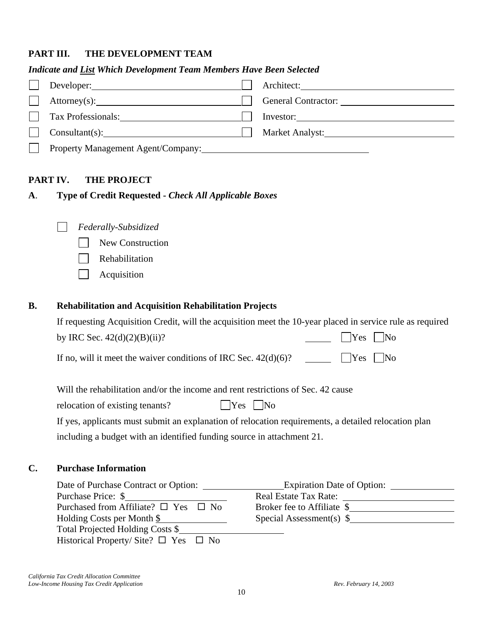### **PART III. THE DEVELOPMENT TEAM**

#### *Indicate and List Which Development Team Members Have Been Selected*

| Developer:                         | Architect: |
|------------------------------------|------------|
|                                    |            |
| Tax Professionals:                 | Investor:  |
|                                    |            |
| Property Management Agent/Company: |            |

#### **PART IV. THE PROJECT**

**A**. **Type of Credit Requested -** *Check All Applicable Boxes* 

| Federally-Subsidized |
|----------------------|
|----------------------|

- New Construction
- Rehabilitation
- $\Box$  Acquisition

#### **B. Rehabilitation and Acquisition Rehabilitation Projects**

| If requesting Acquisition Credit, will the acquisition meet the 10-year placed in service rule as required |                      |
|------------------------------------------------------------------------------------------------------------|----------------------|
| by IRC Sec. $42(d)(2)(B)(ii)$ ?                                                                            |                      |
| If no, will it meet the waiver conditions of IRC Sec. $42(d)(6)$ ?                                         | $\Box$ Yes $\Box$ No |

relocation of existing tenants?  $\Box$  Yes  $\Box$  No

If yes, applicants must submit an explanation of relocation requirements, a detailed relocation plan including a budget with an identified funding source in attachment 21.

### **C. Purchase Information**

| Date of Purchase Contract or Option:                 | <b>Expiration Date of Option:</b> |
|------------------------------------------------------|-----------------------------------|
| Purchase Price: \$                                   | <b>Real Estate Tax Rate:</b>      |
| Purchased from Affiliate? $\square$ Yes $\square$ No | Broker fee to Affiliate \$        |
| Holding Costs per Month \$                           | Special Assessment(s) $\$         |
| Total Projected Holding Costs \$                     |                                   |
| Historical Property/Site? $\square$ Yes $\square$ No |                                   |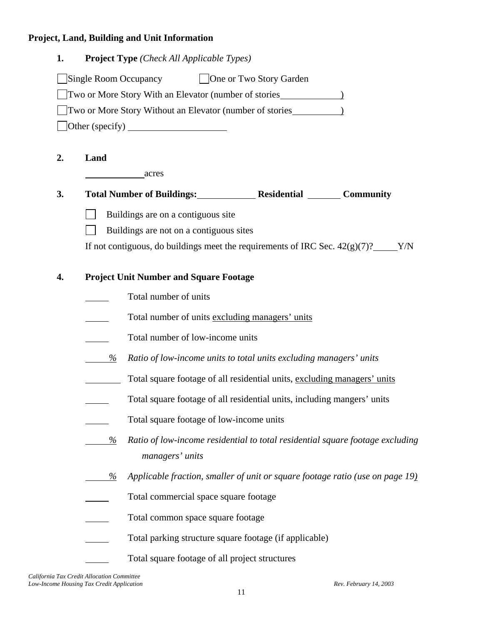# **Project, Land, Building and Unit Information**

| 1. | <b>Project Type</b> ( <i>Check All Applicable Types</i> )                                             |
|----|-------------------------------------------------------------------------------------------------------|
|    | Single Room Occupancy<br><b>One or Two Story Garden</b>                                               |
|    | Two or More Story With an Elevator (number of stories 1997)                                           |
|    | Two or More Story Without an Elevator (number of stories_________________________                     |
|    | $\left[ \text{Other (specificity)} \right]$                                                           |
| 2. | Land                                                                                                  |
|    | acres                                                                                                 |
| 3. | Total Number of Buildings: Residential Community                                                      |
|    | Buildings are on a contiguous site                                                                    |
|    | Buildings are not on a contiguous sites                                                               |
|    | If not contiguous, do buildings meet the requirements of IRC Sec. $42(g)(7)$ ? _____Y/N               |
| 4. | <b>Project Unit Number and Square Footage</b>                                                         |
|    | Total number of units                                                                                 |
|    | Total number of units excluding managers' units                                                       |
|    | Total number of low-income units                                                                      |
|    | %<br>Ratio of low-income units to total units excluding managers' units                               |
|    | Total square footage of all residential units, excluding managers' units                              |
|    |                                                                                                       |
|    | Total square footage of all residential units, including mangers' units                               |
|    | Total square footage of low-income units                                                              |
|    | Ratio of low-income residential to total residential square footage excluding<br>%<br>managers' units |
|    | Applicable fraction, smaller of unit or square footage ratio (use on page 19)<br>%                    |
|    | Total commercial space square footage                                                                 |
|    | Total common space square footage                                                                     |
|    | Total parking structure square footage (if applicable)                                                |
|    | Total square footage of all project structures                                                        |

*California Tax Credit Allocation Committee Low-Income Housing Tax Credit Application*  $\mathbb{R}^p$  *Rev. February 14, 2003 Rev. February 14, 2003*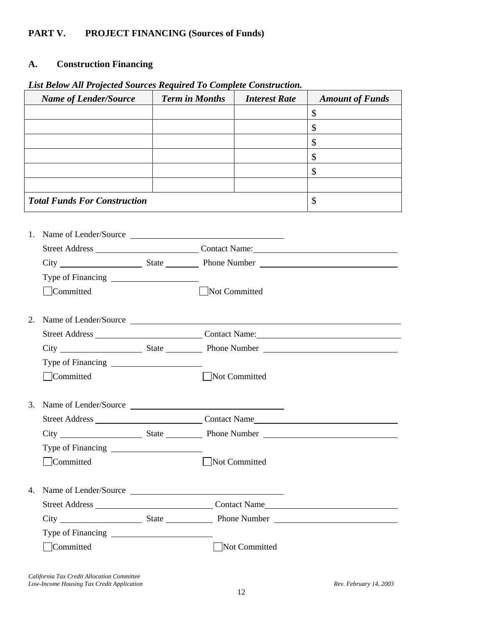# **PART V. PROJECT FINANCING (Sources of Funds)**

### **A. Construction Financing**

|    | <b>Name of Lender/Source</b>        | <b>Term in Months</b> |               | <b>Interest Rate</b> | <b>Amount of Funds</b> |
|----|-------------------------------------|-----------------------|---------------|----------------------|------------------------|
|    |                                     |                       |               |                      | \$                     |
|    |                                     |                       |               |                      | \$                     |
|    |                                     |                       |               |                      | $\mathcal{S}$          |
|    |                                     |                       |               |                      | \$                     |
|    |                                     |                       |               |                      | \$                     |
|    |                                     |                       |               |                      |                        |
|    | <b>Total Funds For Construction</b> |                       |               |                      | $\mathcal{S}$          |
|    |                                     |                       |               |                      |                        |
|    | 1. Name of Lender/Source            |                       |               |                      |                        |
|    |                                     |                       |               |                      |                        |
|    |                                     |                       |               |                      |                        |
|    |                                     |                       |               |                      |                        |
|    | Committed                           |                       | Not Committed |                      |                        |
|    |                                     |                       |               |                      |                        |
|    | 2. Name of Lender/Source            |                       |               |                      |                        |
|    |                                     |                       |               |                      |                        |
|    |                                     |                       |               |                      |                        |
|    |                                     |                       |               |                      |                        |
|    | Committed                           |                       | Not Committed |                      |                        |
|    |                                     |                       |               |                      |                        |
|    | 3. Name of Lender/Source            |                       |               |                      |                        |
|    |                                     |                       |               |                      |                        |
|    |                                     |                       |               |                      |                        |
|    | Committed                           |                       |               | Not Committed        |                        |
|    |                                     |                       |               |                      |                        |
| 4. | Name of Lender/Source               |                       |               |                      |                        |
|    |                                     |                       |               |                      |                        |
|    |                                     |                       |               |                      |                        |
|    |                                     |                       |               |                      |                        |
|    | Committed                           |                       |               | Not Committed        |                        |
|    |                                     |                       |               |                      |                        |

### *List Below All Projected Sources Required To Complete Construction.*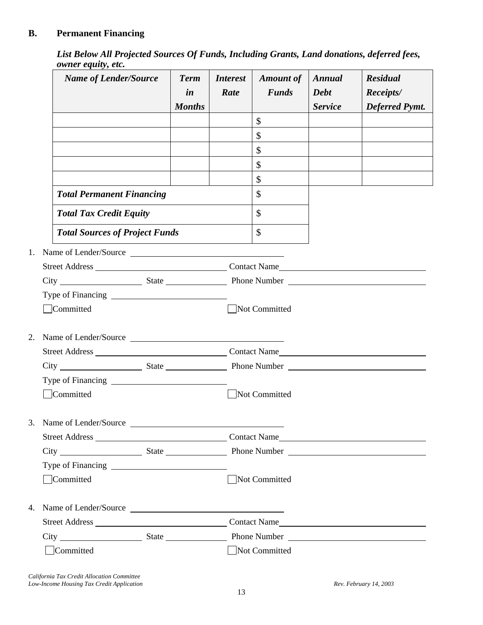# **B. Permanent Financing**

*List Below All Projected Sources Of Funds, Including Grants, Land donations, deferred fees, owner equity, etc.* 

|    | <b>Name of Lender/Source</b>          | <b>Term</b><br>in<br><b>Months</b> | <i>Interest</i><br>Rate | <b>Amount of</b><br><b>Funds</b> | Annual<br><b>Debt</b><br><b>Service</b> | <b>Residual</b><br>Receipts/<br><b>Deferred Pymt.</b> |
|----|---------------------------------------|------------------------------------|-------------------------|----------------------------------|-----------------------------------------|-------------------------------------------------------|
|    |                                       |                                    |                         | $\mathcal{S}$                    |                                         |                                                       |
|    |                                       |                                    |                         | \$                               |                                         |                                                       |
|    |                                       |                                    |                         | \$                               |                                         |                                                       |
|    |                                       |                                    |                         | \$                               |                                         |                                                       |
|    |                                       |                                    |                         | \$                               |                                         |                                                       |
|    | <b>Total Permanent Financing</b>      |                                    |                         | \$                               |                                         |                                                       |
|    | <b>Total Tax Credit Equity</b>        |                                    |                         | $\mathcal{S}$                    |                                         |                                                       |
|    | <b>Total Sources of Project Funds</b> |                                    |                         | $\mathcal{S}$                    |                                         |                                                       |
| 1. | Name of Lender/Source                 |                                    |                         |                                  |                                         |                                                       |
|    |                                       |                                    |                         |                                  |                                         |                                                       |
|    |                                       |                                    |                         |                                  |                                         |                                                       |
|    |                                       |                                    |                         |                                  |                                         |                                                       |
|    | Committed                             |                                    |                         | Not Committed                    |                                         |                                                       |
| 2. | Name of Lender/Source                 |                                    |                         |                                  |                                         |                                                       |
|    |                                       |                                    |                         |                                  |                                         |                                                       |
|    |                                       |                                    |                         |                                  |                                         |                                                       |
|    |                                       |                                    |                         |                                  |                                         |                                                       |
|    | Committed                             |                                    |                         | Not Committed                    |                                         |                                                       |
|    |                                       |                                    |                         |                                  |                                         |                                                       |
|    | 3. Name of Lender/Source              |                                    |                         |                                  |                                         |                                                       |
|    |                                       |                                    |                         |                                  |                                         |                                                       |
|    |                                       |                                    |                         |                                  |                                         |                                                       |
|    |                                       |                                    |                         |                                  |                                         |                                                       |
|    | Committed                             |                                    |                         | Not Committed                    |                                         |                                                       |
| 4. | Name of Lender/Source                 |                                    |                         |                                  |                                         |                                                       |
|    |                                       |                                    |                         |                                  |                                         |                                                       |
|    |                                       |                                    |                         |                                  |                                         |                                                       |
|    | Committed                             |                                    |                         | Not Committed                    |                                         |                                                       |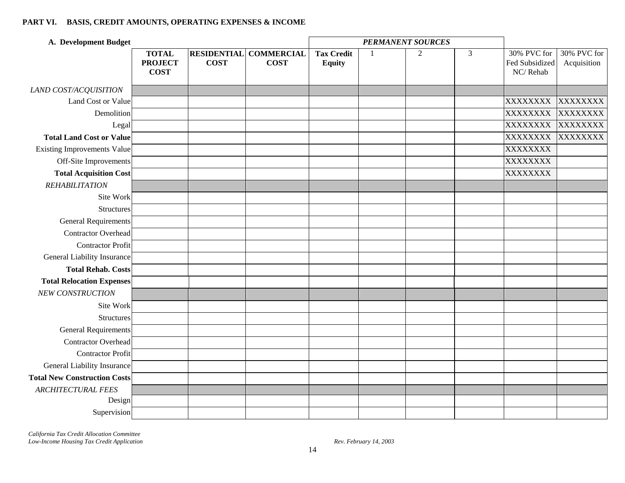#### **PART VI. BASIS, CREDIT AMOUNTS, OPERATING EXPENSES & INCOME**

| A. Development Budget               |                                               |                                   |                                  | <b>PERMANENT SOURCES</b>           |              |   |                |                                           |                            |
|-------------------------------------|-----------------------------------------------|-----------------------------------|----------------------------------|------------------------------------|--------------|---|----------------|-------------------------------------------|----------------------------|
|                                     | <b>TOTAL</b><br><b>PROJECT</b><br><b>COST</b> | <b>RESIDENTIAL</b><br><b>COST</b> | <b>COMMERCIAL</b><br><b>COST</b> | <b>Tax Credit</b><br><b>Equity</b> | $\mathbf{1}$ | 2 | $\overline{3}$ | 30% PVC for<br>Fed Subsidized<br>NC/Rehab | 30% PVC for<br>Acquisition |
| LAND COST/ACQUISITION               |                                               |                                   |                                  |                                    |              |   |                |                                           |                            |
| Land Cost or Value                  |                                               |                                   |                                  |                                    |              |   |                | XXXXXXXX                                  | XXXXXXXX                   |
| Demolition                          |                                               |                                   |                                  |                                    |              |   |                | <b>XXXXXXXX</b>                           | <b>XXXXXXXX</b>            |
| Legal                               |                                               |                                   |                                  |                                    |              |   |                | <b>XXXXXXXX</b>                           | <b>XXXXXXXX</b>            |
| <b>Total Land Cost or Value</b>     |                                               |                                   |                                  |                                    |              |   |                | <b>XXXXXXXX</b>                           | <b>XXXXXXXX</b>            |
| <b>Existing Improvements Value</b>  |                                               |                                   |                                  |                                    |              |   |                | XXXXXXXX                                  |                            |
| Off-Site Improvements               |                                               |                                   |                                  |                                    |              |   |                | <b>XXXXXXXX</b>                           |                            |
| <b>Total Acquisition Cost</b>       |                                               |                                   |                                  |                                    |              |   |                | <b>XXXXXXXX</b>                           |                            |
| <b>REHABILITATION</b>               |                                               |                                   |                                  |                                    |              |   |                |                                           |                            |
| Site Work                           |                                               |                                   |                                  |                                    |              |   |                |                                           |                            |
| <b>Structures</b>                   |                                               |                                   |                                  |                                    |              |   |                |                                           |                            |
| <b>General Requirements</b>         |                                               |                                   |                                  |                                    |              |   |                |                                           |                            |
| <b>Contractor Overhead</b>          |                                               |                                   |                                  |                                    |              |   |                |                                           |                            |
| <b>Contractor Profit</b>            |                                               |                                   |                                  |                                    |              |   |                |                                           |                            |
| General Liability Insurance         |                                               |                                   |                                  |                                    |              |   |                |                                           |                            |
| <b>Total Rehab. Costs</b>           |                                               |                                   |                                  |                                    |              |   |                |                                           |                            |
| <b>Total Relocation Expenses</b>    |                                               |                                   |                                  |                                    |              |   |                |                                           |                            |
| NEW CONSTRUCTION                    |                                               |                                   |                                  |                                    |              |   |                |                                           |                            |
| Site Work                           |                                               |                                   |                                  |                                    |              |   |                |                                           |                            |
| <b>Structures</b>                   |                                               |                                   |                                  |                                    |              |   |                |                                           |                            |
| <b>General Requirements</b>         |                                               |                                   |                                  |                                    |              |   |                |                                           |                            |
| <b>Contractor Overhead</b>          |                                               |                                   |                                  |                                    |              |   |                |                                           |                            |
| <b>Contractor Profit</b>            |                                               |                                   |                                  |                                    |              |   |                |                                           |                            |
| General Liability Insurance         |                                               |                                   |                                  |                                    |              |   |                |                                           |                            |
| <b>Total New Construction Costs</b> |                                               |                                   |                                  |                                    |              |   |                |                                           |                            |
| <b>ARCHITECTURAL FEES</b>           |                                               |                                   |                                  |                                    |              |   |                |                                           |                            |
| Design                              |                                               |                                   |                                  |                                    |              |   |                |                                           |                            |
| Supervision                         |                                               |                                   |                                  |                                    |              |   |                |                                           |                            |

*California Tax Credit Allocation Committee Low-Income Housing Tax Credit Application Rev. February 14, 2003*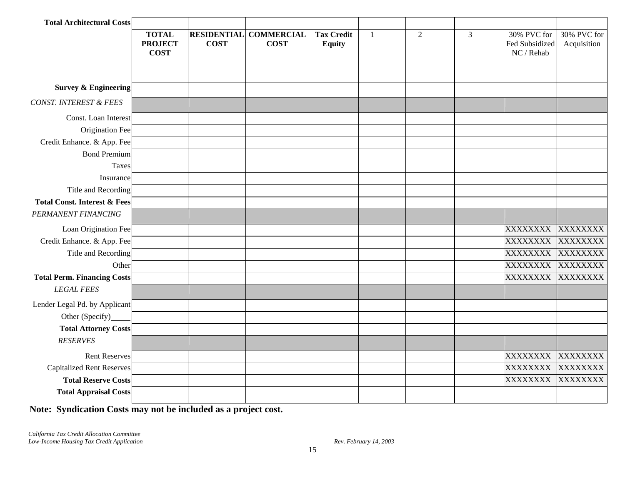| <b>Total Architectural Costs</b>        |                                               |                                   |                                  |                                    |   |   |                |                                             |                            |
|-----------------------------------------|-----------------------------------------------|-----------------------------------|----------------------------------|------------------------------------|---|---|----------------|---------------------------------------------|----------------------------|
|                                         | <b>TOTAL</b><br><b>PROJECT</b><br><b>COST</b> | <b>RESIDENTIAL</b><br><b>COST</b> | <b>COMMERCIAL</b><br><b>COST</b> | <b>Tax Credit</b><br><b>Equity</b> | 1 | 2 | $\overline{3}$ | 30% PVC for<br>Fed Subsidized<br>NC / Rehab | 30% PVC for<br>Acquisition |
|                                         |                                               |                                   |                                  |                                    |   |   |                |                                             |                            |
| <b>Survey &amp; Engineering</b>         |                                               |                                   |                                  |                                    |   |   |                |                                             |                            |
| CONST. INTEREST & FEES                  |                                               |                                   |                                  |                                    |   |   |                |                                             |                            |
| Const. Loan Interest                    |                                               |                                   |                                  |                                    |   |   |                |                                             |                            |
| Origination Fee                         |                                               |                                   |                                  |                                    |   |   |                |                                             |                            |
| Credit Enhance. & App. Fee              |                                               |                                   |                                  |                                    |   |   |                |                                             |                            |
| <b>Bond Premium</b>                     |                                               |                                   |                                  |                                    |   |   |                |                                             |                            |
| Taxes                                   |                                               |                                   |                                  |                                    |   |   |                |                                             |                            |
| Insurance                               |                                               |                                   |                                  |                                    |   |   |                |                                             |                            |
| Title and Recording                     |                                               |                                   |                                  |                                    |   |   |                |                                             |                            |
| <b>Total Const. Interest &amp; Fees</b> |                                               |                                   |                                  |                                    |   |   |                |                                             |                            |
| PERMANENT FINANCING                     |                                               |                                   |                                  |                                    |   |   |                |                                             |                            |
| Loan Origination Fee                    |                                               |                                   |                                  |                                    |   |   |                | <b>XXXXXXXX</b>                             | <b>XXXXXXXX</b>            |
| Credit Enhance. & App. Fee              |                                               |                                   |                                  |                                    |   |   |                | <b>XXXXXXXX</b>                             | <b>XXXXXXXX</b>            |
| Title and Recording                     |                                               |                                   |                                  |                                    |   |   |                | XXXXXXXX                                    | <b>XXXXXXXX</b>            |
| Other                                   |                                               |                                   |                                  |                                    |   |   |                | <b>XXXXXXXX</b>                             | <b>XXXXXXXX</b>            |
| <b>Total Perm. Financing Costs</b>      |                                               |                                   |                                  |                                    |   |   |                | <b>XXXXXXXX</b>                             | XXXXXXXX                   |
| <b>LEGAL FEES</b>                       |                                               |                                   |                                  |                                    |   |   |                |                                             |                            |
| Lender Legal Pd. by Applicant           |                                               |                                   |                                  |                                    |   |   |                |                                             |                            |
| Other (Specify)                         |                                               |                                   |                                  |                                    |   |   |                |                                             |                            |
| <b>Total Attorney Costs</b>             |                                               |                                   |                                  |                                    |   |   |                |                                             |                            |
| <b>RESERVES</b>                         |                                               |                                   |                                  |                                    |   |   |                |                                             |                            |
| <b>Rent Reserves</b>                    |                                               |                                   |                                  |                                    |   |   |                | <b>XXXXXXXX</b>                             | <b>XXXXXXXX</b>            |
| <b>Capitalized Rent Reserves</b>        |                                               |                                   |                                  |                                    |   |   |                | XXXXXXXX                                    | <b>XXXXXXXX</b>            |
| <b>Total Reserve Costs</b>              |                                               |                                   |                                  |                                    |   |   |                | XXXXXXXX                                    | <b>XXXXXXXX</b>            |
| <b>Total Appraisal Costs</b>            |                                               |                                   |                                  |                                    |   |   |                |                                             |                            |
|                                         |                                               |                                   |                                  |                                    |   |   |                |                                             |                            |

**Note: Syndication Costs may not be included as a project cost.**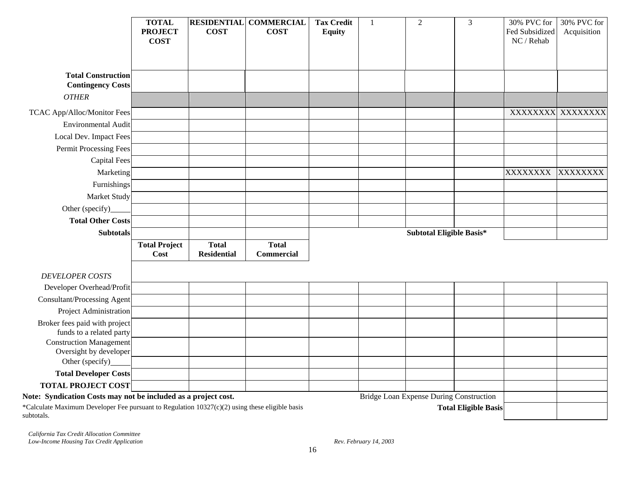|                                                                                                              | <b>TOTAL</b><br><b>PROJECT</b> | <b>COST</b>                        | <b>RESIDENTIAL COMMERCIAL</b><br><b>COST</b> | <b>Tax Credit</b><br><b>Equity</b> | $\mathbf{1}$ | $\overline{2}$                          | $\overline{3}$              | 30% PVC for<br>Fed Subsidized | 30% PVC for<br>Acquisition |
|--------------------------------------------------------------------------------------------------------------|--------------------------------|------------------------------------|----------------------------------------------|------------------------------------|--------------|-----------------------------------------|-----------------------------|-------------------------------|----------------------------|
|                                                                                                              | <b>COST</b>                    |                                    |                                              |                                    |              |                                         |                             | NC / Rehab                    |                            |
| <b>Total Construction</b>                                                                                    |                                |                                    |                                              |                                    |              |                                         |                             |                               |                            |
| <b>Contingency Costs</b>                                                                                     |                                |                                    |                                              |                                    |              |                                         |                             |                               |                            |
| <b>OTHER</b>                                                                                                 |                                |                                    |                                              |                                    |              |                                         |                             |                               |                            |
| TCAC App/Alloc/Monitor Fees                                                                                  |                                |                                    |                                              |                                    |              |                                         |                             |                               | XXXXXXXX XXXXXXXX          |
| <b>Environmental Audit</b>                                                                                   |                                |                                    |                                              |                                    |              |                                         |                             |                               |                            |
| Local Dev. Impact Fees                                                                                       |                                |                                    |                                              |                                    |              |                                         |                             |                               |                            |
| Permit Processing Fees                                                                                       |                                |                                    |                                              |                                    |              |                                         |                             |                               |                            |
| <b>Capital Fees</b>                                                                                          |                                |                                    |                                              |                                    |              |                                         |                             |                               |                            |
| Marketing                                                                                                    |                                |                                    |                                              |                                    |              |                                         |                             | <b>XXXXXXXX</b>               | <b>XXXXXXXX</b>            |
| Furnishings                                                                                                  |                                |                                    |                                              |                                    |              |                                         |                             |                               |                            |
| Market Study                                                                                                 |                                |                                    |                                              |                                    |              |                                         |                             |                               |                            |
| Other (specify)                                                                                              |                                |                                    |                                              |                                    |              |                                         |                             |                               |                            |
| <b>Total Other Costs</b>                                                                                     |                                |                                    |                                              |                                    |              |                                         |                             |                               |                            |
| <b>Subtotals</b>                                                                                             |                                |                                    |                                              |                                    |              | Subtotal Eligible Basis*                |                             |                               |                            |
|                                                                                                              | <b>Total Project</b><br>Cost   | <b>Total</b><br><b>Residential</b> | <b>Total</b><br><b>Commercial</b>            |                                    |              |                                         |                             |                               |                            |
| <b>DEVELOPER COSTS</b>                                                                                       |                                |                                    |                                              |                                    |              |                                         |                             |                               |                            |
| Developer Overhead/Profit                                                                                    |                                |                                    |                                              |                                    |              |                                         |                             |                               |                            |
| <b>Consultant/Processing Agent</b>                                                                           |                                |                                    |                                              |                                    |              |                                         |                             |                               |                            |
| Project Administration                                                                                       |                                |                                    |                                              |                                    |              |                                         |                             |                               |                            |
| Broker fees paid with project<br>funds to a related party                                                    |                                |                                    |                                              |                                    |              |                                         |                             |                               |                            |
| <b>Construction Management</b>                                                                               |                                |                                    |                                              |                                    |              |                                         |                             |                               |                            |
| Oversight by developer<br>Other (specify)                                                                    |                                |                                    |                                              |                                    |              |                                         |                             |                               |                            |
| <b>Total Developer Costs</b>                                                                                 |                                |                                    |                                              |                                    |              |                                         |                             |                               |                            |
| <b>TOTAL PROJECT COST</b>                                                                                    |                                |                                    |                                              |                                    |              |                                         |                             |                               |                            |
| Note: Syndication Costs may not be included as a project cost.                                               |                                |                                    |                                              |                                    |              | Bridge Loan Expense During Construction |                             |                               |                            |
| *Calculate Maximum Developer Fee pursuant to Regulation 10327(c)(2) using these eligible basis<br>subtotals. |                                |                                    |                                              |                                    |              |                                         | <b>Total Eligible Basis</b> |                               |                            |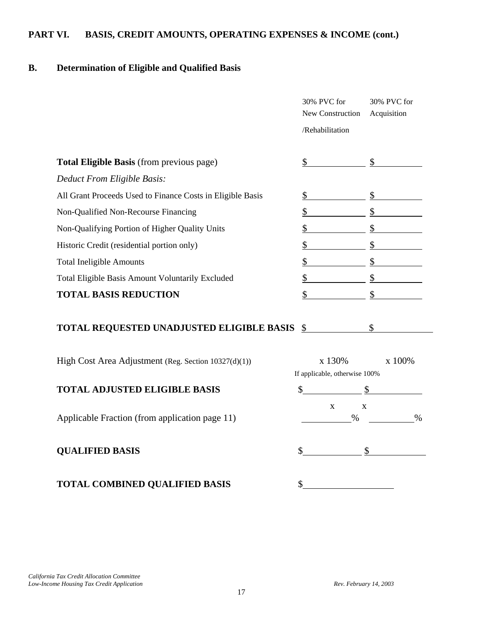# **PART VI. BASIS, CREDIT AMOUNTS, OPERATING EXPENSES & INCOME (cont.)**

# **B. Determination of Eligible and Qualified Basis**

|                                                            | 30% PVC for<br>New Construction         | 30% PVC for<br>Acquisition |
|------------------------------------------------------------|-----------------------------------------|----------------------------|
|                                                            | /Rehabilitation                         |                            |
| Total Eligible Basis (from previous page)                  | \$                                      | $\mathbb{S}$               |
| Deduct From Eligible Basis:                                |                                         |                            |
| All Grant Proceeds Used to Finance Costs in Eligible Basis | \$                                      | \$                         |
| Non-Qualified Non-Recourse Financing                       | \$                                      | \$                         |
| Non-Qualifying Portion of Higher Quality Units             | \$                                      | $\mathbb{S}$               |
| Historic Credit (residential portion only)                 | \$                                      | \$                         |
| <b>Total Ineligible Amounts</b>                            | \$                                      | $\mathcal{S}$              |
| Total Eligible Basis Amount Voluntarily Excluded           | \$                                      | $\mathcal{S}$              |
| <b>TOTAL BASIS REDUCTION</b>                               | \$                                      | \$                         |
| TOTAL REQUESTED UNADJUSTED ELIGIBLE BASIS                  | $\mathcal{S}$                           | $\mathcal{S}$              |
| High Cost Area Adjustment (Reg. Section 10327(d)(1))       | x 130%<br>If applicable, otherwise 100% | x 100%                     |
| <b>TOTAL ADJUSTED ELIGIBLE BASIS</b>                       | \$                                      | $\mathcal{S}$              |
| Applicable Fraction (from application page 11)             | X<br>$\%$                               | X<br>$\%$                  |
| <b>QUALIFIED BASIS</b>                                     | \$                                      | \$                         |
| <b>TOTAL COMBINED QUALIFIED BASIS</b>                      |                                         |                            |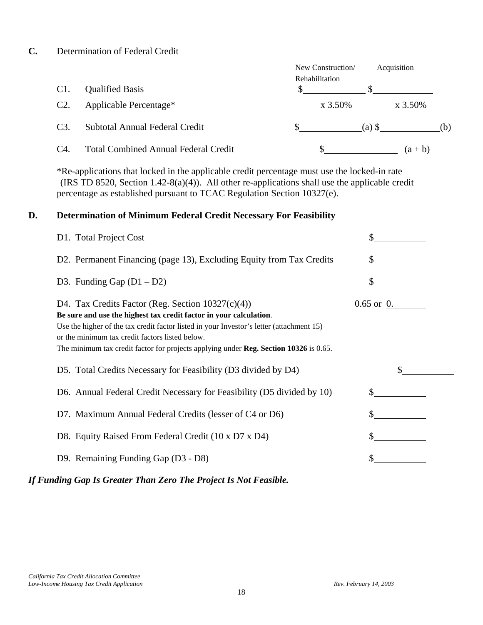#### **C.** Determination of Federal Credit

|     |                                             | New Construction/<br><b>Rehabilitation</b> | Acquisition |     |
|-----|---------------------------------------------|--------------------------------------------|-------------|-----|
| C1. | <b>Qualified Basis</b>                      |                                            |             |     |
| C2. | Applicable Percentage*                      | $x\,3.50\%$                                | $x\,3.50\%$ |     |
| C3. | Subtotal Annual Federal Credit              |                                            | $(a)$ \$    | (b) |
| C4. | <b>Total Combined Annual Federal Credit</b> |                                            | $(a + b)$   |     |

 \*Re-applications that locked in the applicable credit percentage must use the locked-in rate (IRS TD 8520, Section 1.42-8(a)(4)). All other re-applications shall use the applicable credit percentage as established pursuant to TCAC Regulation Section 10327(e).

### **D. Determination of Minimum Federal Credit Necessary For Feasibility**

| D1. Total Project Cost                                                                                                                                                                                                                                                                                                                                                    |              |  |
|---------------------------------------------------------------------------------------------------------------------------------------------------------------------------------------------------------------------------------------------------------------------------------------------------------------------------------------------------------------------------|--------------|--|
| D2. Permanent Financing (page 13), Excluding Equity from Tax Credits                                                                                                                                                                                                                                                                                                      |              |  |
| D3. Funding Gap $(D1 - D2)$                                                                                                                                                                                                                                                                                                                                               |              |  |
| D4. Tax Credits Factor (Reg. Section $10327(c)(4)$ )<br>Be sure and use the highest tax credit factor in your calculation.<br>Use the higher of the tax credit factor listed in your Investor's letter (attachment 15)<br>or the minimum tax credit factors listed below.<br>The minimum tax credit factor for projects applying under <b>Reg. Section 10326</b> is 0.65. | $0.65$ or 0. |  |
| D5. Total Credits Necessary for Feasibility (D3 divided by D4)                                                                                                                                                                                                                                                                                                            |              |  |
| D6. Annual Federal Credit Necessary for Feasibility (D5 divided by 10)                                                                                                                                                                                                                                                                                                    | \$           |  |
| D7. Maximum Annual Federal Credits (lesser of C4 or D6)                                                                                                                                                                                                                                                                                                                   |              |  |
| D8. Equity Raised From Federal Credit (10 x D7 x D4)                                                                                                                                                                                                                                                                                                                      | \$           |  |
| D9. Remaining Funding Gap (D3 - D8)                                                                                                                                                                                                                                                                                                                                       |              |  |
|                                                                                                                                                                                                                                                                                                                                                                           |              |  |

*If Funding Gap Is Greater Than Zero The Project Is Not Feasible.*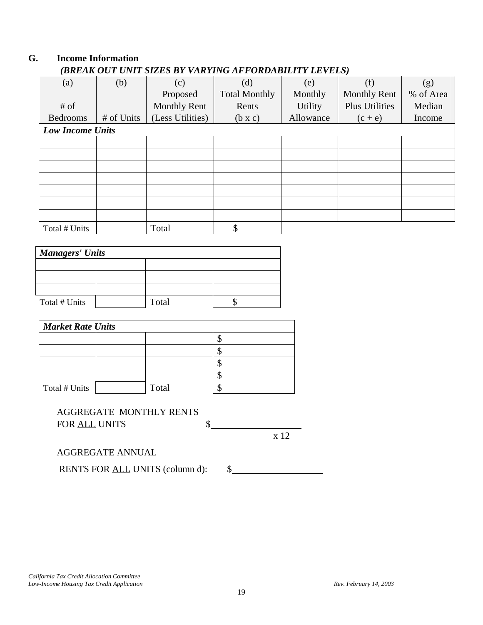### **G. Income Information** *(BREAK OUT UNIT SIZES BY VARYING AFFORDABILITY LEVELS)*

| (a)                     | (b)        | (c)                 | (d)                  | (e)            | (f)                   | (g)       |  |  |  |
|-------------------------|------------|---------------------|----------------------|----------------|-----------------------|-----------|--|--|--|
|                         |            | Proposed            | <b>Total Monthly</b> | Monthly        | <b>Monthly Rent</b>   | % of Area |  |  |  |
| # of                    |            | <b>Monthly Rent</b> | Rents                | <b>Utility</b> | <b>Plus Utilities</b> | Median    |  |  |  |
| <b>Bedrooms</b>         | # of Units | (Less Utilities)    | $(b \times c)$       | Allowance      | $(c + e)$             | Income    |  |  |  |
| <b>Low Income Units</b> |            |                     |                      |                |                       |           |  |  |  |
|                         |            |                     |                      |                |                       |           |  |  |  |
|                         |            |                     |                      |                |                       |           |  |  |  |
|                         |            |                     |                      |                |                       |           |  |  |  |
|                         |            |                     |                      |                |                       |           |  |  |  |
|                         |            |                     |                      |                |                       |           |  |  |  |
|                         |            |                     |                      |                |                       |           |  |  |  |
|                         |            |                     |                      |                |                       |           |  |  |  |
| Total # Units           |            | Total               | Φ<br>Φ               |                |                       |           |  |  |  |

| <b>Managers' Units</b> |  |       |  |  |  |  |  |
|------------------------|--|-------|--|--|--|--|--|
|                        |  |       |  |  |  |  |  |
|                        |  |       |  |  |  |  |  |
|                        |  |       |  |  |  |  |  |
| Total # Units          |  | Total |  |  |  |  |  |

| <b>Market Rate Units</b> |  |       |  |  |  |  |  |  |
|--------------------------|--|-------|--|--|--|--|--|--|
|                          |  |       |  |  |  |  |  |  |
|                          |  |       |  |  |  |  |  |  |
|                          |  |       |  |  |  |  |  |  |
|                          |  |       |  |  |  |  |  |  |
| Total # Units            |  | Total |  |  |  |  |  |  |

# AGGREGATE MONTHLY RENTS FOR <u>ALL</u> UNITS \$

x 12

AGGREGATE ANNUAL

RENTS FOR <u>ALL</u> UNITS (column d): \\$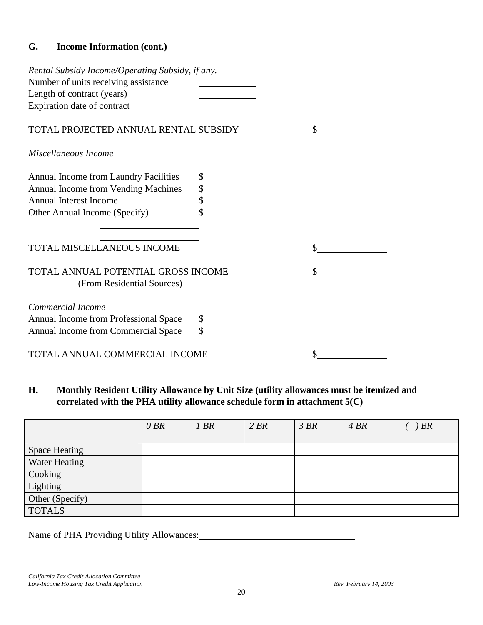# **G. Income Information (cont.)**

| Rental Subsidy Income/Operating Subsidy, if any.<br>Number of units receiving assistance<br>Length of contract (years)<br>Expiration date of contract |              |  |
|-------------------------------------------------------------------------------------------------------------------------------------------------------|--------------|--|
| TOTAL PROJECTED ANNUAL RENTAL SUBSIDY                                                                                                                 |              |  |
| Miscellaneous Income                                                                                                                                  |              |  |
| <b>Annual Income from Laundry Facilities</b><br>Annual Income from Vending Machines<br><b>Annual Interest Income</b><br>Other Annual Income (Specify) | $\sim$<br>\$ |  |
| <b>TOTAL MISCELLANEOUS INCOME</b>                                                                                                                     |              |  |
| TOTAL ANNUAL POTENTIAL GROSS INCOME<br>(From Residential Sources)                                                                                     |              |  |
| Commercial Income<br>Annual Income from Professional Space<br>Annual Income from Commercial Space                                                     | s            |  |
| TOTAL ANNUAL COMMERCIAL INCOME                                                                                                                        |              |  |

**H. Monthly Resident Utility Allowance by Unit Size (utility allowances must be itemized and correlated with the PHA utility allowance schedule form in attachment 5(C)** 

|                      | 0 BR | 1 BR | 2 BR | 3 BR | 4 BR | <b>BR</b> |
|----------------------|------|------|------|------|------|-----------|
|                      |      |      |      |      |      |           |
| <b>Space Heating</b> |      |      |      |      |      |           |
| Water Heating        |      |      |      |      |      |           |
| Cooking              |      |      |      |      |      |           |
| Lighting             |      |      |      |      |      |           |
| Other (Specify)      |      |      |      |      |      |           |
| <b>TOTALS</b>        |      |      |      |      |      |           |

Name of PHA Providing Utility Allowances: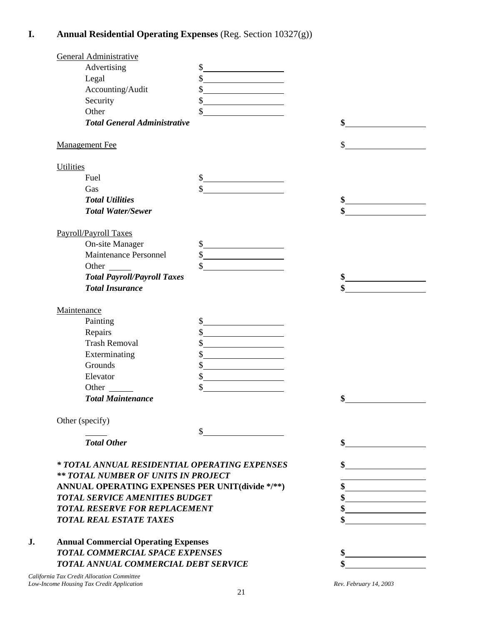# **I. Annual Residential Operating Expenses** (Reg. Section 10327(g))

| General Administrative                          |                                                                                                                                |    |
|-------------------------------------------------|--------------------------------------------------------------------------------------------------------------------------------|----|
| Advertising                                     | \$<br><u> 1980 - Johann Barbara, martxa alemaniar a</u>                                                                        |    |
| Legal                                           | \$                                                                                                                             |    |
| Accounting/Audit                                | \$<br><u> 1989 - Johann Barbara, martxa a</u>                                                                                  |    |
| Security                                        | \$<br><u> 1980 - Johann Barbara, politik eta politik eta politik eta politik eta politik eta politik eta politik eta p</u> oli |    |
| Other                                           | \$                                                                                                                             |    |
| <b>Total General Administrative</b>             |                                                                                                                                | \$ |
| <b>Management Fee</b>                           |                                                                                                                                | \$ |
| <b>Utilities</b>                                |                                                                                                                                |    |
| Fuel                                            | \$                                                                                                                             |    |
| Gas                                             |                                                                                                                                |    |
| <b>Total Utilities</b>                          |                                                                                                                                | \$ |
| <b>Total Water/Sewer</b>                        |                                                                                                                                | \$ |
| Payroll/Payroll Taxes                           |                                                                                                                                |    |
| <b>On-site Manager</b>                          | s                                                                                                                              |    |
| Maintenance Personnel                           | $\frac{1}{2}$                                                                                                                  |    |
|                                                 | \$                                                                                                                             |    |
| <b>Total Payroll/Payroll Taxes</b>              |                                                                                                                                | \$ |
| <b>Total Insurance</b>                          |                                                                                                                                | \$ |
| Maintenance                                     |                                                                                                                                |    |
| Painting                                        | \$<br><u> 1989 - Johann Barbara, martin a</u>                                                                                  |    |
| Repairs                                         | \$                                                                                                                             |    |
| <b>Trash Removal</b>                            | \$<br><u> 1989 - Johann Barbara, martxa alemani</u> ar a                                                                       |    |
| Exterminating                                   | \$                                                                                                                             |    |
| Grounds                                         | \$                                                                                                                             |    |
| Elevator                                        | \$                                                                                                                             |    |
| Other                                           | \$                                                                                                                             |    |
| <b>Total Maintenance</b>                        |                                                                                                                                | \$ |
| Other (specify)                                 |                                                                                                                                |    |
|                                                 | \$                                                                                                                             |    |
| <b>Total Other</b>                              |                                                                                                                                | \$ |
| * TOTAL ANNUAL RESIDENTIAL OPERATING EXPENSES   |                                                                                                                                | \$ |
| ** TOTAL NUMBER OF UNITS IN PROJECT             |                                                                                                                                |    |
| ANNUAL OPERATING EXPENSES PER UNIT(divide */**) |                                                                                                                                |    |
| <b>TOTAL SERVICE AMENITIES BUDGET</b>           |                                                                                                                                |    |
| <b>TOTAL RESERVE FOR REPLACEMENT</b>            |                                                                                                                                | \$ |
| <b>TOTAL REAL ESTATE TAXES</b>                  |                                                                                                                                |    |
| <b>Annual Commercial Operating Expenses</b>     |                                                                                                                                |    |
| <b>TOTAL COMMERCIAL SPACE EXPENSES</b>          |                                                                                                                                |    |
|                                                 |                                                                                                                                |    |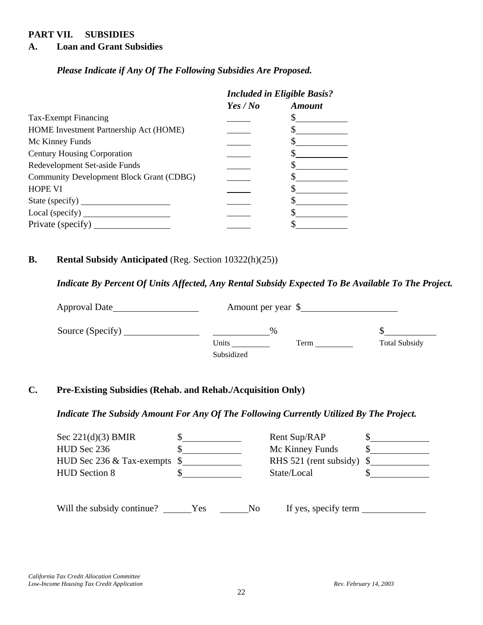### **PART VII. SUBSIDIES**

#### **A. Loan and Grant Subsidies**

*Please Indicate if Any Of The Following Subsidies Are Proposed.* 

|                                          | <b>Included in Eligible Basis?</b> |               |
|------------------------------------------|------------------------------------|---------------|
|                                          | Yes / No                           | <b>Amount</b> |
| Tax-Exempt Financing                     |                                    |               |
| HOME Investment Partnership Act (HOME)   |                                    |               |
| Mc Kinney Funds                          |                                    |               |
| <b>Century Housing Corporation</b>       |                                    |               |
| Redevelopment Set-aside Funds            |                                    |               |
| Community Development Block Grant (CDBG) |                                    |               |
| <b>HOPE VI</b>                           |                                    |               |
| State (specify)                          |                                    |               |
| Local (specify)                          |                                    |               |
| Private (specify)                        |                                    |               |

### **B. Rental Subsidy Anticipated** (Reg. Section 10322(h)(25))

*Indicate By Percent Of Units Affected, Any Rental Subsidy Expected To Be Available To The Project.* 

| Approval Date    | Amount per year \$ |                      |
|------------------|--------------------|----------------------|
| Source (Specify) | $\frac{0}{0}$      |                      |
|                  | Units<br>Term      | <b>Total Subsidy</b> |
|                  | Subsidized         |                      |

### **C. Pre-Existing Subsidies (Rehab. and Rehab./Acquisition Only)**

### *Indicate The Subsidy Amount For Any Of The Following Currently Utilized By The Project.*

| Sec $221(d)(3)$ BMIR<br>HUD Sec 236<br>HUD Sec 236 $&$ Tax-exempts $\$$<br><b>HUD Section 8</b> |     |                | Rent Sup/RAP<br>Mc Kinney Funds<br>RHS 521 (rent subsidy) $\$<br>State/Local |  |
|-------------------------------------------------------------------------------------------------|-----|----------------|------------------------------------------------------------------------------|--|
| Will the subsidy continue?                                                                      | Yes | N <sub>o</sub> | If yes, specify term                                                         |  |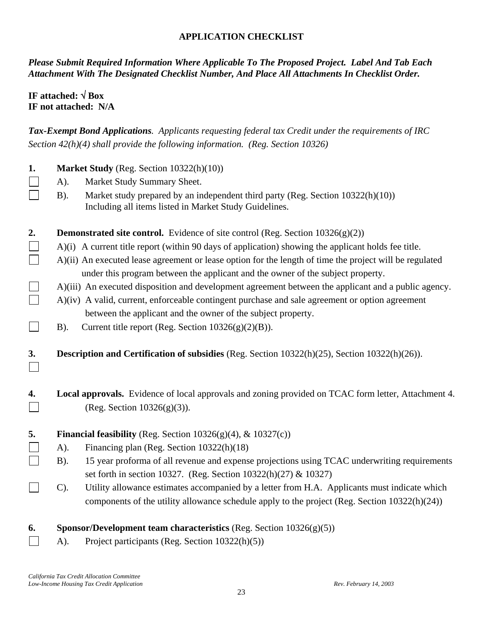### **APPLICATION CHECKLIST**

*Please Submit Required Information Where Applicable To The Proposed Project. Label And Tab Each Attachment With The Designated Checklist Number, And Place All Attachments In Checklist Order.* 

# **IF attached:** √ **Box IF not attached: N/A**

*Tax-Exempt Bond Applications. Applicants requesting federal tax Credit under the requirements of IRC Section 42(h)(4) shall provide the following information. (Reg. Section 10326)* 

| 1. | Market Study (Reg. Section 10322(h)(10))                                                                                                                                                   |  |  |  |  |
|----|--------------------------------------------------------------------------------------------------------------------------------------------------------------------------------------------|--|--|--|--|
|    | Market Study Summary Sheet.<br>A).                                                                                                                                                         |  |  |  |  |
|    | Market study prepared by an independent third party (Reg. Section 10322(h)(10))<br>$B)$ .<br>Including all items listed in Market Study Guidelines.                                        |  |  |  |  |
| 2. | <b>Demonstrated site control.</b> Evidence of site control (Reg. Section $10326(g)(2)$ )                                                                                                   |  |  |  |  |
|    | A)(i) A current title report (within 90 days of application) showing the applicant holds fee title.                                                                                        |  |  |  |  |
|    | A)(ii) An executed lease agreement or lease option for the length of time the project will be regulated<br>under this program between the applicant and the owner of the subject property. |  |  |  |  |
|    | A)(iii) An executed disposition and development agreement between the applicant and a public agency.                                                                                       |  |  |  |  |
|    | A)(iv) A valid, current, enforceable contingent purchase and sale agreement or option agreement                                                                                            |  |  |  |  |
|    | between the applicant and the owner of the subject property.                                                                                                                               |  |  |  |  |
|    | Current title report (Reg. Section $10326(g)(2)(B)$ ).<br>$B)$ .                                                                                                                           |  |  |  |  |
|    |                                                                                                                                                                                            |  |  |  |  |
| 3. | Description and Certification of subsidies (Reg. Section 10322(h)(25), Section 10322(h)(26)).                                                                                              |  |  |  |  |
| 4. | Local approvals. Evidence of local approvals and zoning provided on TCAC form letter, Attachment 4.<br>(Reg. Section $10326(g)(3)$ ).                                                      |  |  |  |  |
| 5. | Financial feasibility (Reg. Section $10326(g)(4)$ , & $10327(c)$ )                                                                                                                         |  |  |  |  |
|    | $A)$ .<br>Financing plan (Reg. Section 10322(h)(18)                                                                                                                                        |  |  |  |  |
|    | 15 year proforma of all revenue and expense projections using TCAC underwriting requirements<br>$B$ ).                                                                                     |  |  |  |  |
|    | set forth in section 10327. (Reg. Section 10322(h)(27) & 10327)                                                                                                                            |  |  |  |  |
|    | Utility allowance estimates accompanied by a letter from H.A. Applicants must indicate which<br>$C$ ).                                                                                     |  |  |  |  |
|    | components of the utility allowance schedule apply to the project (Reg. Section 10322(h)(24))                                                                                              |  |  |  |  |
| 6. | Sponsor/Development team characteristics (Reg. Section $10326(g)(5)$ )                                                                                                                     |  |  |  |  |
|    | Project participants (Reg. Section 10322(h)(5))<br>A).                                                                                                                                     |  |  |  |  |
|    |                                                                                                                                                                                            |  |  |  |  |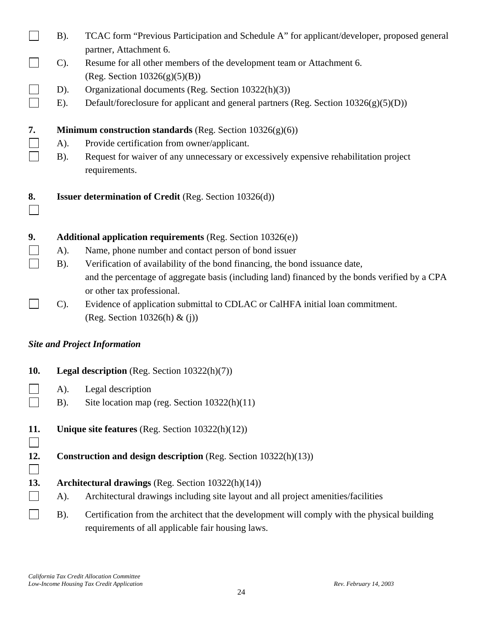|     | $B$ ).                                                                 | TCAC form "Previous Participation and Schedule A" for applicant/developer, proposed general                                                       |  |  |
|-----|------------------------------------------------------------------------|---------------------------------------------------------------------------------------------------------------------------------------------------|--|--|
|     |                                                                        | partner, Attachment 6.                                                                                                                            |  |  |
|     | $C$ ).                                                                 | Resume for all other members of the development team or Attachment 6.                                                                             |  |  |
|     |                                                                        | (Reg. Section $10326(g)(5)(B)$ )                                                                                                                  |  |  |
|     | $D$ ).<br>$E$ ).                                                       | Organizational documents (Reg. Section 10322(h)(3))                                                                                               |  |  |
|     |                                                                        | Default/foreclosure for applicant and general partners (Reg. Section 10326(g)(5)(D))                                                              |  |  |
| 7.  |                                                                        | <b>Minimum construction standards</b> (Reg. Section $10326(g)(6)$ )                                                                               |  |  |
|     | A).                                                                    | Provide certification from owner/applicant.                                                                                                       |  |  |
|     | $B)$ .                                                                 | Request for waiver of any unnecessary or excessively expensive rehabilitation project<br>requirements.                                            |  |  |
| 8.  |                                                                        | <b>Issuer determination of Credit</b> (Reg. Section 10326(d))                                                                                     |  |  |
| 9.  |                                                                        | Additional application requirements (Reg. Section 10326(e))                                                                                       |  |  |
|     | A).                                                                    | Name, phone number and contact person of bond issuer                                                                                              |  |  |
|     | $B)$ .                                                                 | Verification of availability of the bond financing, the bond issuance date,                                                                       |  |  |
|     |                                                                        | and the percentage of aggregate basis (including land) financed by the bonds verified by a CPA                                                    |  |  |
|     |                                                                        | or other tax professional.                                                                                                                        |  |  |
|     | $C$ ).                                                                 | Evidence of application submittal to CDLAC or CalHFA initial loan commitment.<br>(Reg. Section 10326(h) & (j))                                    |  |  |
|     |                                                                        | <b>Site and Project Information</b>                                                                                                               |  |  |
| 10. |                                                                        | <b>Legal description</b> (Reg. Section $10322(h)(7)$ )                                                                                            |  |  |
|     | A).                                                                    | Legal description                                                                                                                                 |  |  |
|     | $B)$ .                                                                 | Site location map (reg. Section $10322(h)(11)$ )                                                                                                  |  |  |
| 11. | Unique site features (Reg. Section $10322(h)(12)$ )                    |                                                                                                                                                   |  |  |
| 12. | <b>Construction and design description</b> (Reg. Section 10322(h)(13)) |                                                                                                                                                   |  |  |
| 13. |                                                                        | Architectural drawings (Reg. Section 10322(h)(14))                                                                                                |  |  |
|     | A).                                                                    | Architectural drawings including site layout and all project amenities/facilities                                                                 |  |  |
|     | $B)$ .                                                                 | Certification from the architect that the development will comply with the physical building<br>requirements of all applicable fair housing laws. |  |  |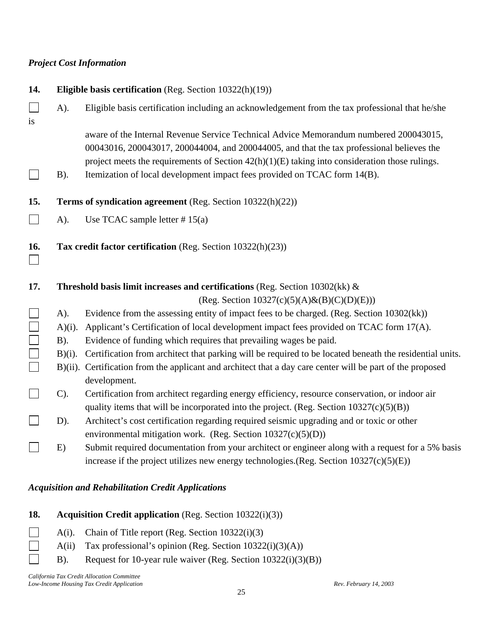### *Project Cost Information*

| 14.    |           | Eligible basis certification (Reg. Section 10322(h)(19))                                                                                                                                                                                                                               |
|--------|-----------|----------------------------------------------------------------------------------------------------------------------------------------------------------------------------------------------------------------------------------------------------------------------------------------|
| is     | A).       | Eligible basis certification including an acknowledgement from the tax professional that he/she                                                                                                                                                                                        |
|        |           | aware of the Internal Revenue Service Technical Advice Memorandum numbered 200043015,<br>00043016, 200043017, 200044004, and 200044005, and that the tax professional believes the<br>project meets the requirements of Section $42(h)(1)(E)$ taking into consideration those rulings. |
|        | $B$ ).    | Itemization of local development impact fees provided on TCAC form 14(B).                                                                                                                                                                                                              |
| 15.    |           | Terms of syndication agreement (Reg. Section 10322(h)(22))                                                                                                                                                                                                                             |
|        | A).       | Use TCAC sample letter $# 15(a)$                                                                                                                                                                                                                                                       |
| 16.    |           | Tax credit factor certification (Reg. Section 10322(h)(23))                                                                                                                                                                                                                            |
| 17.    |           | Threshold basis limit increases and certifications (Reg. Section $10302$ (kk) &                                                                                                                                                                                                        |
|        |           | (Reg. Section $10327(c)(5)(A) \& (B)(C)(D)(E))$ )                                                                                                                                                                                                                                      |
|        | A).       | Evidence from the assessing entity of impact fees to be charged. (Reg. Section 10302(kk))                                                                                                                                                                                              |
|        | $A)(i)$ . | Applicant's Certification of local development impact fees provided on TCAC form 17(A).                                                                                                                                                                                                |
|        | $B)$ .    | Evidence of funding which requires that prevailing wages be paid.                                                                                                                                                                                                                      |
|        | $B)(i)$ . | Certification from architect that parking will be required to be located beneath the residential units.                                                                                                                                                                                |
| $\Box$ |           | B)(ii). Certification from the applicant and architect that a day care center will be part of the proposed<br>development.                                                                                                                                                             |
|        | $C$ ).    | Certification from architect regarding energy efficiency, resource conservation, or indoor air<br>quality items that will be incorporated into the project. (Reg. Section $10327(c)(5)(B)$ )                                                                                           |
|        | D).       | Architect's cost certification regarding required seismic upgrading and or toxic or other                                                                                                                                                                                              |
|        |           | environmental mitigation work. (Reg. Section $10327(c)(5)(D)$ )                                                                                                                                                                                                                        |
|        | E)        | Submit required documentation from your architect or engineer along with a request for a 5% basis<br>increase if the project utilizes new energy technologies. (Reg. Section $10327(c)(5)(E)$ )                                                                                        |

### *Acquisition and Rehabilitation Credit Applications*

- **18. Acquisition Credit application** (Reg. Section 10322(i)(3))
- A(i). Chain of Title report (Reg. Section 10322(i)(3)  $\Box$
- $\Box$ A(ii) Tax professional's opinion (Reg. Section 10322(i)(3)(A))
- B). Request for 10-year rule waiver (Reg. Section 10322(i)(3)(B))  $\Box$